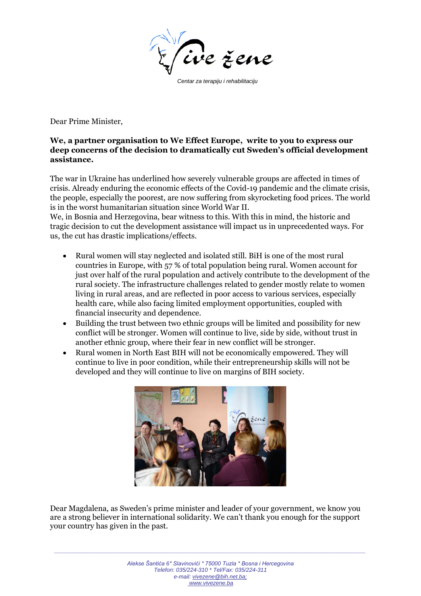

 *Centar za terapiju i rehabilitaciju*

Dear Prime Minister,

## **We, a partner organisation to We Effect Europe, write to you to express our deep concerns of the decision to dramatically cut Sweden's official development assistance.**

The war in Ukraine has underlined how severely vulnerable groups are affected in times of crisis. Already enduring the economic effects of the Covid-19 pandemic and the climate crisis, the people, especially the poorest, are now suffering from skyrocketing food prices. The world is in the worst humanitarian situation since World War II.

We, in Bosnia and Herzegovina, bear witness to this. With this in mind, the historic and tragic decision to cut the development assistance will impact us in unprecedented ways. For us, the cut has drastic implications/effects.

- Rural women will stay neglected and isolated still. BiH is one of the most rural countries in Europe, with 57 % of total population being rural. Women account for just over half of the rural population and actively contribute to the development of the rural society. The infrastructure challenges related to gender mostly relate to women living in rural areas, and are reflected in poor access to various services, especially health care, while also facing limited employment opportunities, coupled with financial insecurity and dependence.
- Building the trust between two ethnic groups will be limited and possibility for new conflict will be stronger. Women will continue to live, side by side, without trust in another ethnic group, where their fear in new conflict will be stronger.
- Rural women in North East BIH will not be economically empowered. They will continue to live in poor condition, while their entrepreneurship skills will not be developed and they will continue to live on margins of BIH society.



Dear Magdalena, as Sweden's prime minister and leader of your government, we know you are a strong believer in international solidarity. We can't thank you enough for the support your country has given in the past.

*\_\_\_\_\_\_\_\_\_\_\_\_\_\_\_\_\_\_\_\_\_\_\_\_\_\_\_\_\_\_\_\_\_\_\_\_\_\_\_\_\_\_\_\_\_\_\_\_\_\_\_\_\_\_\_\_\_\_\_\_\_\_\_\_\_\_\_\_\_\_\_\_\_\_\_\_\_\_\_\_\_\_\_\_\_\_\_\_*